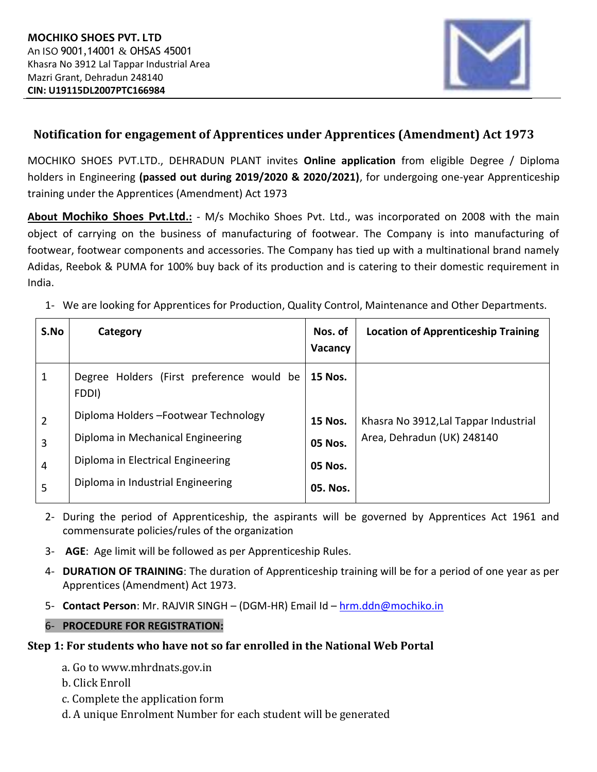

## **Notification for engagement of Apprentices under Apprentices (Amendment) Act 1973**

MOCHIKO SHOES PVT.LTD., DEHRADUN PLANT invites **Online application** from eligible Degree / Diploma holders in Engineering **(passed out during 2019/2020 & 2020/2021)**, for undergoing one-year Apprenticeship training under the Apprentices (Amendment) Act 1973

**About Mochiko Shoes Pvt.Ltd.:** - M/s Mochiko Shoes Pvt. Ltd., was incorporated on 2008 with the main object of carrying on the business of manufacturing of footwear. The Company is into manufacturing of footwear, footwear components and accessories. The Company has tied up with a multinational brand namely Adidas, Reebok & PUMA for 100% buy back of its production and is catering to their domestic requirement in India.

1- We are looking for Apprentices for Production, Quality Control, Maintenance and Other Departments.

| S.No           | Category                                           | Nos. of<br>Vacancy | <b>Location of Apprenticeship Training</b> |
|----------------|----------------------------------------------------|--------------------|--------------------------------------------|
| 1              | Degree Holders (First preference would be<br>FDDI) | <b>15 Nos.</b>     |                                            |
| $\overline{2}$ | Diploma Holders - Footwear Technology              | <b>15 Nos.</b>     | Khasra No 3912, Lal Tappar Industrial      |
| 3              | Diploma in Mechanical Engineering                  | <b>05 Nos.</b>     | Area, Dehradun (UK) 248140                 |
| 4              | Diploma in Electrical Engineering                  | <b>05 Nos.</b>     |                                            |
| 5              | Diploma in Industrial Engineering                  | 05. Nos.           |                                            |

- 2- During the period of Apprenticeship, the aspirants will be governed by Apprentices Act 1961 and commensurate policies/rules of the organization
- 3- **AGE**: Age limit will be followed as per Apprenticeship Rules.
- 4- **DURATION OF TRAINING**: The duration of Apprenticeship training will be for a period of one year as per Apprentices (Amendment) Act 1973.
- 5- **Contact Person**: Mr. RAJVIR SINGH (DGM-HR) Email Id [hrm.ddn@mochiko.in](mailto:hrm.ddn@mochiko.in)
- 6- **PROCEDURE FOR REGISTRATION:**

## **Step 1: For students who have not so far enrolled in the National Web Portal**

- a. Go to www.mhrdnats.gov.in
- b. Click Enroll
- c. Complete the application form
- d. A unique Enrolment Number for each student will be generated